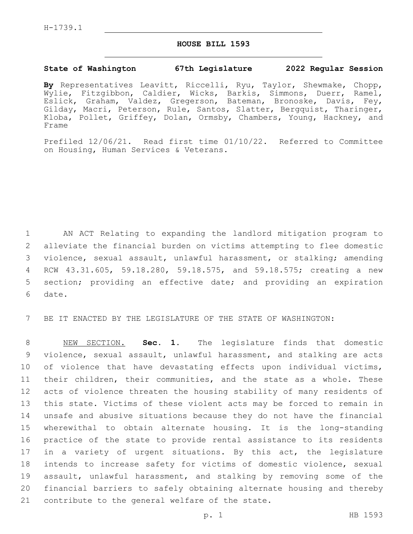## **HOUSE BILL 1593**

## **State of Washington 67th Legislature 2022 Regular Session**

**By** Representatives Leavitt, Riccelli, Ryu, Taylor, Shewmake, Chopp, Wylie, Fitzgibbon, Caldier, Wicks, Barkis, Simmons, Duerr, Ramel, Eslick, Graham, Valdez, Gregerson, Bateman, Bronoske, Davis, Fey, Gilday, Macri, Peterson, Rule, Santos, Slatter, Bergquist, Tharinger, Kloba, Pollet, Griffey, Dolan, Ormsby, Chambers, Young, Hackney, and Frame

Prefiled 12/06/21. Read first time 01/10/22. Referred to Committee on Housing, Human Services & Veterans.

 AN ACT Relating to expanding the landlord mitigation program to alleviate the financial burden on victims attempting to flee domestic violence, sexual assault, unlawful harassment, or stalking; amending RCW 43.31.605, 59.18.280, 59.18.575, and 59.18.575; creating a new section; providing an effective date; and providing an expiration 6 date.

BE IT ENACTED BY THE LEGISLATURE OF THE STATE OF WASHINGTON:

 NEW SECTION. **Sec. 1.** The legislature finds that domestic violence, sexual assault, unlawful harassment, and stalking are acts of violence that have devastating effects upon individual victims, their children, their communities, and the state as a whole. These acts of violence threaten the housing stability of many residents of this state. Victims of these violent acts may be forced to remain in unsafe and abusive situations because they do not have the financial wherewithal to obtain alternate housing. It is the long-standing practice of the state to provide rental assistance to its residents in a variety of urgent situations. By this act, the legislature intends to increase safety for victims of domestic violence, sexual assault, unlawful harassment, and stalking by removing some of the financial barriers to safely obtaining alternate housing and thereby contribute to the general welfare of the state.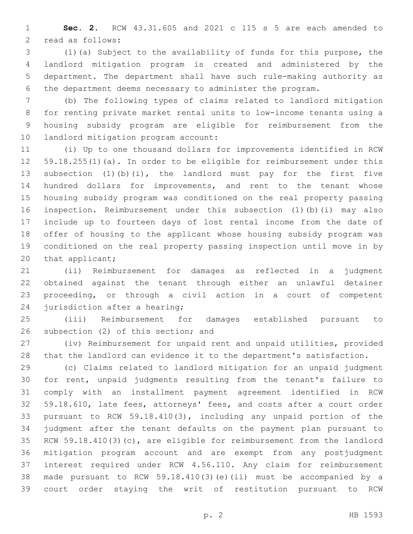**Sec. 2.** RCW 43.31.605 and 2021 c 115 s 5 are each amended to 2 read as follows:

 (1)(a) Subject to the availability of funds for this purpose, the landlord mitigation program is created and administered by the department. The department shall have such rule-making authority as the department deems necessary to administer the program.

 (b) The following types of claims related to landlord mitigation for renting private market rental units to low-income tenants using a housing subsidy program are eligible for reimbursement from the 10 landlord mitigation program account:

 (i) Up to one thousand dollars for improvements identified in RCW 59.18.255(1)(a). In order to be eligible for reimbursement under this subsection (1)(b)(i), the landlord must pay for the first five hundred dollars for improvements, and rent to the tenant whose housing subsidy program was conditioned on the real property passing inspection. Reimbursement under this subsection (1)(b)(i) may also include up to fourteen days of lost rental income from the date of offer of housing to the applicant whose housing subsidy program was conditioned on the real property passing inspection until move in by 20 that applicant;

 (ii) Reimbursement for damages as reflected in a judgment obtained against the tenant through either an unlawful detainer proceeding, or through a civil action in a court of competent 24 jurisdiction after a hearing;

 (iii) Reimbursement for damages established pursuant to 26 subsection (2) of this section; and

 (iv) Reimbursement for unpaid rent and unpaid utilities, provided that the landlord can evidence it to the department's satisfaction.

 (c) Claims related to landlord mitigation for an unpaid judgment for rent, unpaid judgments resulting from the tenant's failure to comply with an installment payment agreement identified in RCW 59.18.610, late fees, attorneys' fees, and costs after a court order pursuant to RCW 59.18.410(3), including any unpaid portion of the judgment after the tenant defaults on the payment plan pursuant to RCW 59.18.410(3)(c), are eligible for reimbursement from the landlord mitigation program account and are exempt from any postjudgment interest required under RCW 4.56.110. Any claim for reimbursement made pursuant to RCW 59.18.410(3)(e)(ii) must be accompanied by a court order staying the writ of restitution pursuant to RCW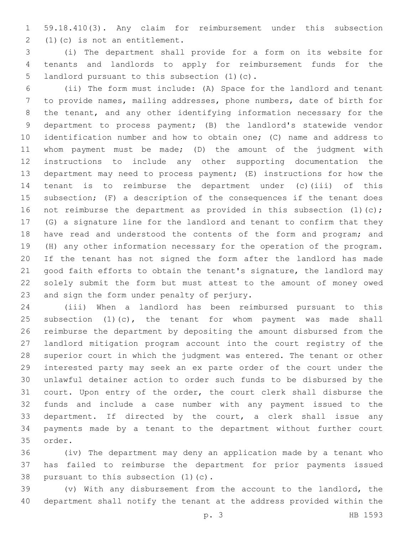59.18.410(3). Any claim for reimbursement under this subsection  $(1)(c)$  is not an entitlement.

 (i) The department shall provide for a form on its website for tenants and landlords to apply for reimbursement funds for the 5 landlord pursuant to this subsection (1)(c).

 (ii) The form must include: (A) Space for the landlord and tenant to provide names, mailing addresses, phone numbers, date of birth for the tenant, and any other identifying information necessary for the department to process payment; (B) the landlord's statewide vendor identification number and how to obtain one; (C) name and address to whom payment must be made; (D) the amount of the judgment with instructions to include any other supporting documentation the department may need to process payment; (E) instructions for how the tenant is to reimburse the department under (c)(iii) of this subsection; (F) a description of the consequences if the tenant does 16 not reimburse the department as provided in this subsection (1)(c); (G) a signature line for the landlord and tenant to confirm that they 18 have read and understood the contents of the form and program; and (H) any other information necessary for the operation of the program. If the tenant has not signed the form after the landlord has made good faith efforts to obtain the tenant's signature, the landlord may solely submit the form but must attest to the amount of money owed 23 and sign the form under penalty of perjury.

 (iii) When a landlord has been reimbursed pursuant to this 25 subsection  $(1)(c)$ , the tenant for whom payment was made shall reimburse the department by depositing the amount disbursed from the landlord mitigation program account into the court registry of the superior court in which the judgment was entered. The tenant or other interested party may seek an ex parte order of the court under the unlawful detainer action to order such funds to be disbursed by the court. Upon entry of the order, the court clerk shall disburse the funds and include a case number with any payment issued to the department. If directed by the court, a clerk shall issue any payments made by a tenant to the department without further court 35 order.

 (iv) The department may deny an application made by a tenant who has failed to reimburse the department for prior payments issued 38 pursuant to this subsection  $(1)(c)$ .

 (v) With any disbursement from the account to the landlord, the department shall notify the tenant at the address provided within the

p. 3 HB 1593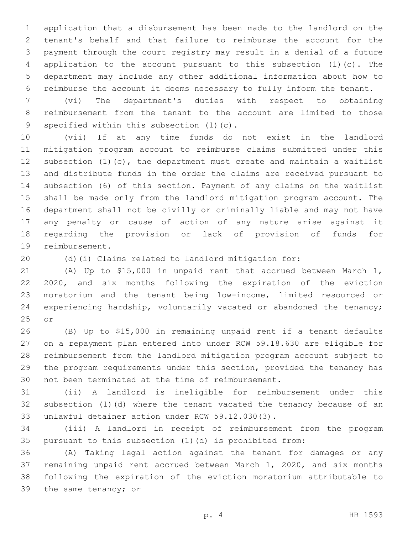application that a disbursement has been made to the landlord on the tenant's behalf and that failure to reimburse the account for the payment through the court registry may result in a denial of a future application to the account pursuant to this subsection (1)(c). The department may include any other additional information about how to reimburse the account it deems necessary to fully inform the tenant.

 (vi) The department's duties with respect to obtaining reimbursement from the tenant to the account are limited to those 9 specified within this subsection (1)(c).

 (vii) If at any time funds do not exist in the landlord mitigation program account to reimburse claims submitted under this subsection (1)(c), the department must create and maintain a waitlist and distribute funds in the order the claims are received pursuant to subsection (6) of this section. Payment of any claims on the waitlist shall be made only from the landlord mitigation program account. The department shall not be civilly or criminally liable and may not have any penalty or cause of action of any nature arise against it regarding the provision or lack of provision of funds for 19 reimbursement.

(d)(i) Claims related to landlord mitigation for:

 (A) Up to \$15,000 in unpaid rent that accrued between March 1, 2020, and six months following the expiration of the eviction moratorium and the tenant being low-income, limited resourced or experiencing hardship, voluntarily vacated or abandoned the tenancy; 25 or

 (B) Up to \$15,000 in remaining unpaid rent if a tenant defaults on a repayment plan entered into under RCW 59.18.630 are eligible for reimbursement from the landlord mitigation program account subject to the program requirements under this section, provided the tenancy has 30 not been terminated at the time of reimbursement.

 (ii) A landlord is ineligible for reimbursement under this subsection (1)(d) where the tenant vacated the tenancy because of an 33 unlawful detainer action under RCW 59.12.030(3).

 (iii) A landlord in receipt of reimbursement from the program pursuant to this subsection (1)(d) is prohibited from:

 (A) Taking legal action against the tenant for damages or any remaining unpaid rent accrued between March 1, 2020, and six months following the expiration of the eviction moratorium attributable to 39 the same tenancy; or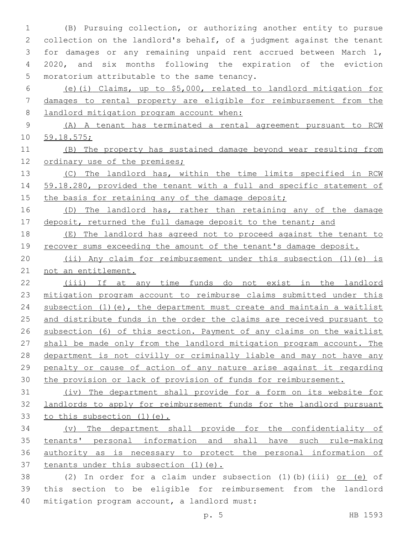(B) Pursuing collection, or authorizing another entity to pursue collection on the landlord's behalf, of a judgment against the tenant for damages or any remaining unpaid rent accrued between March 1, 2020, and six months following the expiration of the eviction 5 moratorium attributable to the same tenancy.

 (e)(i) Claims, up to \$5,000, related to landlord mitigation for damages to rental property are eligible for reimbursement from the 8 landlord mitigation program account when:

 (A) A tenant has terminated a rental agreement pursuant to RCW 59.18.575;

 (B) The property has sustained damage beyond wear resulting from 12 ordinary use of the premises;

 (C) The landlord has, within the time limits specified in RCW 59.18.280, provided the tenant with a full and specific statement of 15 the basis for retaining any of the damage deposit;

16 (D) The landlord has, rather than retaining any of the damage 17 deposit, returned the full damage deposit to the tenant; and

 (E) The landlord has agreed not to proceed against the tenant to 19 recover sums exceeding the amount of the tenant's damage deposit.

 (ii) Any claim for reimbursement under this subsection (1)(e) is not an entitlement.

 (iii) If at any time funds do not exist in the landlord mitigation program account to reimburse claims submitted under this 24 subsection (1)(e), the department must create and maintain a waitlist 25 and distribute funds in the order the claims are received pursuant to subsection (6) of this section. Payment of any claims on the waitlist shall be made only from the landlord mitigation program account. The department is not civilly or criminally liable and may not have any penalty or cause of action of any nature arise against it regarding the provision or lack of provision of funds for reimbursement.

 (iv) The department shall provide for a form on its website for landlords to apply for reimbursement funds for the landlord pursuant to this subsection (1)(e).

 (v) The department shall provide for the confidentiality of tenants' personal information and shall have such rule-making authority as is necessary to protect the personal information of tenants under this subsection (1)(e).

 (2) In order for a claim under subsection (1)(b)(iii) or (e) of this section to be eligible for reimbursement from the landlord 40 mitigation program account, a landlord must: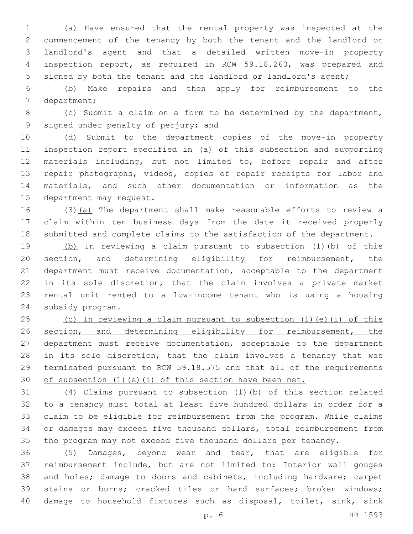(a) Have ensured that the rental property was inspected at the commencement of the tenancy by both the tenant and the landlord or landlord's agent and that a detailed written move-in property inspection report, as required in RCW 59.18.260, was prepared and signed by both the tenant and the landlord or landlord's agent;

 (b) Make repairs and then apply for reimbursement to the 7 department;

 (c) Submit a claim on a form to be determined by the department, 9 signed under penalty of perjury; and

 (d) Submit to the department copies of the move-in property inspection report specified in (a) of this subsection and supporting materials including, but not limited to, before repair and after repair photographs, videos, copies of repair receipts for labor and materials, and such other documentation or information as the 15 department may request.

 (3)(a) The department shall make reasonable efforts to review a claim within ten business days from the date it received properly submitted and complete claims to the satisfaction of the department.

 (b) In reviewing a claim pursuant to subsection (1)(b) of this section, and determining eligibility for reimbursement, the department must receive documentation, acceptable to the department in its sole discretion, that the claim involves a private market rental unit rented to a low-income tenant who is using a housing 24 subsidy program.

 (c) In reviewing a claim pursuant to subsection (1)(e)(i) of this 26 section, and determining eligibility for reimbursement, the department must receive documentation, acceptable to the department 28 in its sole discretion, that the claim involves a tenancy that was terminated pursuant to RCW 59.18.575 and that all of the requirements 30 of subsection (1)(e)(i) of this section have been met.

 (4) Claims pursuant to subsection (1)(b) of this section related to a tenancy must total at least five hundred dollars in order for a claim to be eligible for reimbursement from the program. While claims or damages may exceed five thousand dollars, total reimbursement from the program may not exceed five thousand dollars per tenancy.

 (5) Damages, beyond wear and tear, that are eligible for reimbursement include, but are not limited to: Interior wall gouges and holes; damage to doors and cabinets, including hardware; carpet stains or burns; cracked tiles or hard surfaces; broken windows; damage to household fixtures such as disposal, toilet, sink, sink

p. 6 HB 1593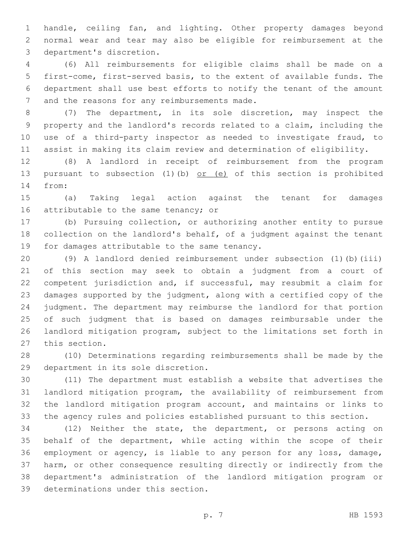handle, ceiling fan, and lighting. Other property damages beyond normal wear and tear may also be eligible for reimbursement at the 3 department's discretion.

 (6) All reimbursements for eligible claims shall be made on a first-come, first-served basis, to the extent of available funds. The department shall use best efforts to notify the tenant of the amount 7 and the reasons for any reimbursements made.

 (7) The department, in its sole discretion, may inspect the property and the landlord's records related to a claim, including the use of a third-party inspector as needed to investigate fraud, to assist in making its claim review and determination of eligibility.

 (8) A landlord in receipt of reimbursement from the program 13 pursuant to subsection (1)(b) or (e) of this section is prohibited 14 from:

 (a) Taking legal action against the tenant for damages 16 attributable to the same tenancy; or

 (b) Pursuing collection, or authorizing another entity to pursue collection on the landlord's behalf, of a judgment against the tenant 19 for damages attributable to the same tenancy.

 (9) A landlord denied reimbursement under subsection (1)(b)(iii) of this section may seek to obtain a judgment from a court of competent jurisdiction and, if successful, may resubmit a claim for damages supported by the judgment, along with a certified copy of the judgment. The department may reimburse the landlord for that portion of such judgment that is based on damages reimbursable under the landlord mitigation program, subject to the limitations set forth in 27 this section.

 (10) Determinations regarding reimbursements shall be made by the 29 department in its sole discretion.

 (11) The department must establish a website that advertises the landlord mitigation program, the availability of reimbursement from the landlord mitigation program account, and maintains or links to the agency rules and policies established pursuant to this section.

 (12) Neither the state, the department, or persons acting on behalf of the department, while acting within the scope of their employment or agency, is liable to any person for any loss, damage, harm, or other consequence resulting directly or indirectly from the department's administration of the landlord mitigation program or 39 determinations under this section.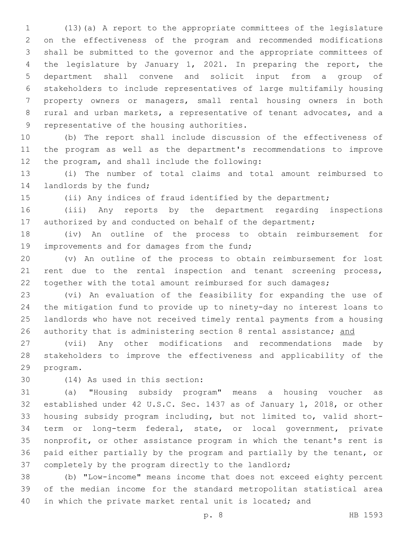(13)(a) A report to the appropriate committees of the legislature on the effectiveness of the program and recommended modifications shall be submitted to the governor and the appropriate committees of the legislature by January 1, 2021. In preparing the report, the department shall convene and solicit input from a group of stakeholders to include representatives of large multifamily housing property owners or managers, small rental housing owners in both rural and urban markets, a representative of tenant advocates, and a 9 representative of the housing authorities.

 (b) The report shall include discussion of the effectiveness of the program as well as the department's recommendations to improve 12 the program, and shall include the following:

 (i) The number of total claims and total amount reimbursed to 14 landlords by the fund;

(ii) Any indices of fraud identified by the department;

 (iii) Any reports by the department regarding inspections 17 authorized by and conducted on behalf of the department;

 (iv) An outline of the process to obtain reimbursement for 19 improvements and for damages from the fund;

 (v) An outline of the process to obtain reimbursement for lost 21 rent due to the rental inspection and tenant screening process, together with the total amount reimbursed for such damages;

 (vi) An evaluation of the feasibility for expanding the use of the mitigation fund to provide up to ninety-day no interest loans to landlords who have not received timely rental payments from a housing 26 authority that is administering section 8 rental assistance; and

 (vii) Any other modifications and recommendations made by stakeholders to improve the effectiveness and applicability of the 29 program.

(14) As used in this section:30

 (a) "Housing subsidy program" means a housing voucher as established under 42 U.S.C. Sec. 1437 as of January 1, 2018, or other housing subsidy program including, but not limited to, valid short- term or long-term federal, state, or local government, private nonprofit, or other assistance program in which the tenant's rent is paid either partially by the program and partially by the tenant, or completely by the program directly to the landlord;

 (b) "Low-income" means income that does not exceed eighty percent of the median income for the standard metropolitan statistical area in which the private market rental unit is located; and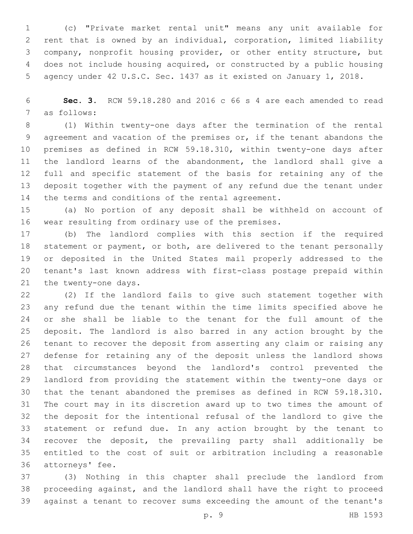(c) "Private market rental unit" means any unit available for rent that is owned by an individual, corporation, limited liability company, nonprofit housing provider, or other entity structure, but does not include housing acquired, or constructed by a public housing agency under 42 U.S.C. Sec. 1437 as it existed on January 1, 2018.

 **Sec. 3.** RCW 59.18.280 and 2016 c 66 s 4 are each amended to read 7 as follows:

 (1) Within twenty-one days after the termination of the rental agreement and vacation of the premises or, if the tenant abandons the premises as defined in RCW 59.18.310, within twenty-one days after the landlord learns of the abandonment, the landlord shall give a full and specific statement of the basis for retaining any of the deposit together with the payment of any refund due the tenant under 14 the terms and conditions of the rental agreement.

 (a) No portion of any deposit shall be withheld on account of 16 wear resulting from ordinary use of the premises.

 (b) The landlord complies with this section if the required statement or payment, or both, are delivered to the tenant personally or deposited in the United States mail properly addressed to the tenant's last known address with first-class postage prepaid within 21 the twenty-one days.

 (2) If the landlord fails to give such statement together with any refund due the tenant within the time limits specified above he or she shall be liable to the tenant for the full amount of the deposit. The landlord is also barred in any action brought by the tenant to recover the deposit from asserting any claim or raising any defense for retaining any of the deposit unless the landlord shows that circumstances beyond the landlord's control prevented the landlord from providing the statement within the twenty-one days or that the tenant abandoned the premises as defined in RCW 59.18.310. The court may in its discretion award up to two times the amount of the deposit for the intentional refusal of the landlord to give the statement or refund due. In any action brought by the tenant to recover the deposit, the prevailing party shall additionally be entitled to the cost of suit or arbitration including a reasonable 36 attorneys' fee.

 (3) Nothing in this chapter shall preclude the landlord from proceeding against, and the landlord shall have the right to proceed against a tenant to recover sums exceeding the amount of the tenant's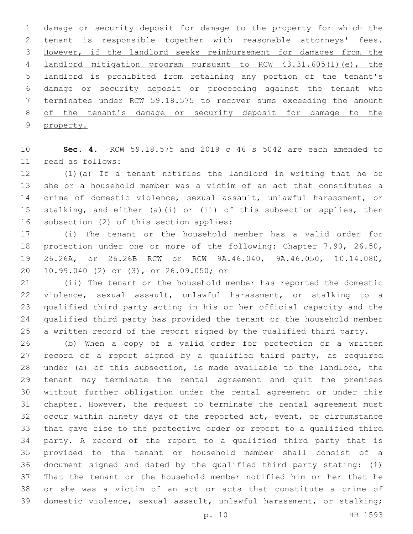damage or security deposit for damage to the property for which the tenant is responsible together with reasonable attorneys' fees. However, if the landlord seeks reimbursement for damages from the landlord mitigation program pursuant to RCW 43.31.605(1)(e), the landlord is prohibited from retaining any portion of the tenant's damage or security deposit or proceeding against the tenant who terminates under RCW 59.18.575 to recover sums exceeding the amount 8 of the tenant's damage or security deposit for damage to the property.

 **Sec. 4.** RCW 59.18.575 and 2019 c 46 s 5042 are each amended to read as follows:11

 (1)(a) If a tenant notifies the landlord in writing that he or she or a household member was a victim of an act that constitutes a crime of domestic violence, sexual assault, unlawful harassment, or stalking, and either (a)(i) or (ii) of this subsection applies, then 16 subsection (2) of this section applies:

 (i) The tenant or the household member has a valid order for protection under one or more of the following: Chapter 7.90, 26.50, 26.26A, or 26.26B RCW or RCW 9A.46.040, 9A.46.050, 10.14.080, 20 10.99.040 (2) or (3), or 26.09.050; or

 (ii) The tenant or the household member has reported the domestic violence, sexual assault, unlawful harassment, or stalking to a qualified third party acting in his or her official capacity and the qualified third party has provided the tenant or the household member a written record of the report signed by the qualified third party.

 (b) When a copy of a valid order for protection or a written record of a report signed by a qualified third party, as required under (a) of this subsection, is made available to the landlord, the tenant may terminate the rental agreement and quit the premises without further obligation under the rental agreement or under this chapter. However, the request to terminate the rental agreement must occur within ninety days of the reported act, event, or circumstance that gave rise to the protective order or report to a qualified third party. A record of the report to a qualified third party that is provided to the tenant or household member shall consist of a document signed and dated by the qualified third party stating: (i) That the tenant or the household member notified him or her that he or she was a victim of an act or acts that constitute a crime of domestic violence, sexual assault, unlawful harassment, or stalking;

p. 10 HB 1593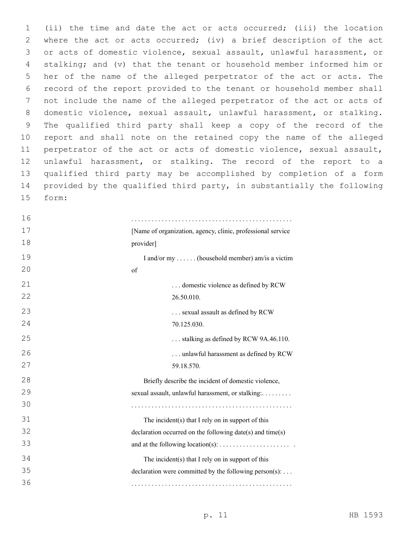(ii) the time and date the act or acts occurred; (iii) the location where the act or acts occurred; (iv) a brief description of the act or acts of domestic violence, sexual assault, unlawful harassment, or stalking; and (v) that the tenant or household member informed him or her of the name of the alleged perpetrator of the act or acts. The record of the report provided to the tenant or household member shall not include the name of the alleged perpetrator of the act or acts of domestic violence, sexual assault, unlawful harassment, or stalking. The qualified third party shall keep a copy of the record of the report and shall note on the retained copy the name of the alleged perpetrator of the act or acts of domestic violence, sexual assault, unlawful harassment, or stalking. The record of the report to a qualified third party may be accomplished by completion of a form provided by the qualified third party, in substantially the following form:15

 . . . . . . . . . . . . . . . . . . . . . . . . . . . . . . . . . . . . . . . . . . . . . . . . [Name of organization, agency, clinic, professional service provider] I and/or my . . . . . . (household member) am/is a victim of . . . domestic violence as defined by RCW 26.50.010. . . . sexual assault as defined by RCW 70.125.030. . . . stalking as defined by RCW 9A.46.110. . . . unlawful harassment as defined by RCW 59.18.570. Briefly describe the incident of domestic violence, sexual assault, unlawful harassment, or stalking:......... . . . . . . . . . . . . . . . . . . . . . . . . . . . . . . . . . . . . . . . . . . . . . . . . The incident $(s)$  that I rely on in support of this declaration occurred on the following date(s) and time(s) and at the following location(s): . . . . . . . . . . . . . . . . . . . . . . The incident(s) that I rely on in support of this declaration were committed by the following person $(s)$ :... . . . . . . . . . . . . . . . . . . . . . . . . . . . . . . . . . . . . . . . . . . . . . . . .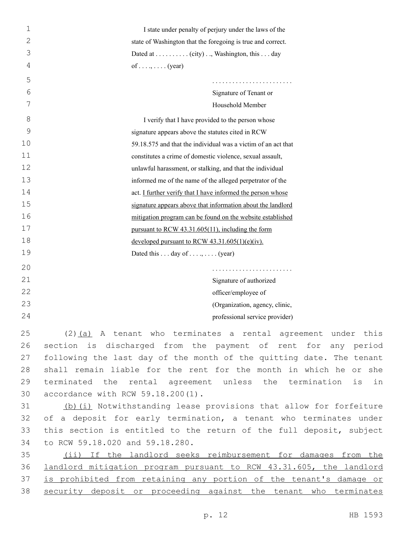| 1  | I state under penalty of perjury under the laws of the               |
|----|----------------------------------------------------------------------|
| 2  | state of Washington that the foregoing is true and correct.          |
| 3  | Dated at (city), Washington, this day                                |
| 4  | of (year)                                                            |
| 5  |                                                                      |
| 6  | Signature of Tenant or                                               |
| 7  | Household Member                                                     |
| 8  | I verify that I have provided to the person whose                    |
| 9  | signature appears above the statutes cited in RCW                    |
| 10 | 59.18.575 and that the individual was a victim of an act that        |
| 11 | constitutes a crime of domestic violence, sexual assault,            |
| 12 | unlawful harassment, or stalking, and that the individual            |
| 13 | informed me of the name of the alleged perpetrator of the            |
| 14 | act. I further verify that I have informed the person whose          |
| 15 | signature appears above that information about the landlord          |
| 16 | mitigation program can be found on the website established           |
| 17 | pursuant to RCW 43.31.605(11), including the form                    |
| 18 | developed pursuant to RCW $43.31.605(1)(e)(iv)$ .                    |
| 19 | Dated this  day of ,  (year)                                         |
| 20 |                                                                      |
| 21 | Signature of authorized                                              |
| 22 | officer/employee of                                                  |
| 23 | (Organization, agency, clinic,                                       |
| 24 | professional service provider)                                       |
| 25 | $(2)$ (a) A tenant who terminates a rental agreement under this      |
| 26 | section is discharged from the payment of rent for any period        |
| 27 | following the last day of the month of the quitting date. The tenant |
| 28 | shall remain liable for the rent for the month in which he or she    |
| 29 | terminated the rental agreement unless the termination is in         |
| 30 | accordance with RCW 59.18.200(1).                                    |
| 31 | (b) (i) Notwithstanding lease provisions that allow for forfeiture   |
| 32 | of a deposit for early termination, a tenant who terminates under    |
| 33 | this section is entitled to the return of the full deposit, subject  |
| 34 | to RCW 59.18.020 and 59.18.280.                                      |
| 35 | (ii) If the landlord seeks reimbursement for damages from the        |
| 36 | landlord mitigation program pursuant to RCW 43.31.605, the landlord  |
|    |                                                                      |

37 is prohibited from retaining any portion of the tenant's damage or

38 security deposit or proceeding against the tenant who terminates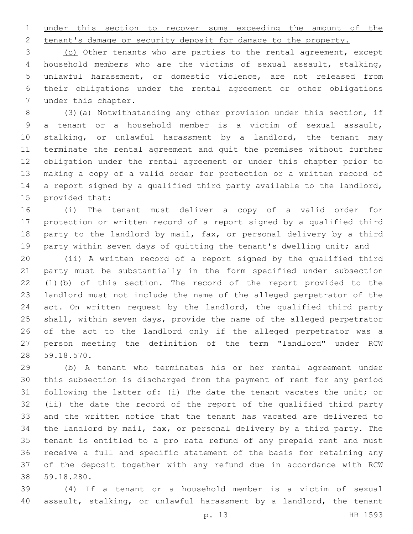under this section to recover sums exceeding the amount of the

tenant's damage or security deposit for damage to the property.

 (c) Other tenants who are parties to the rental agreement, except household members who are the victims of sexual assault, stalking, unlawful harassment, or domestic violence, are not released from their obligations under the rental agreement or other obligations 7 under this chapter.

 (3)(a) Notwithstanding any other provision under this section, if a tenant or a household member is a victim of sexual assault, stalking, or unlawful harassment by a landlord, the tenant may terminate the rental agreement and quit the premises without further obligation under the rental agreement or under this chapter prior to making a copy of a valid order for protection or a written record of a report signed by a qualified third party available to the landlord, 15 provided that:

 (i) The tenant must deliver a copy of a valid order for protection or written record of a report signed by a qualified third party to the landlord by mail, fax, or personal delivery by a third 19 party within seven days of quitting the tenant's dwelling unit; and

 (ii) A written record of a report signed by the qualified third party must be substantially in the form specified under subsection (1)(b) of this section. The record of the report provided to the landlord must not include the name of the alleged perpetrator of the act. On written request by the landlord, the qualified third party shall, within seven days, provide the name of the alleged perpetrator of the act to the landlord only if the alleged perpetrator was a person meeting the definition of the term "landlord" under RCW 59.18.570.28

 (b) A tenant who terminates his or her rental agreement under this subsection is discharged from the payment of rent for any period following the latter of: (i) The date the tenant vacates the unit; or (ii) the date the record of the report of the qualified third party and the written notice that the tenant has vacated are delivered to the landlord by mail, fax, or personal delivery by a third party. The tenant is entitled to a pro rata refund of any prepaid rent and must receive a full and specific statement of the basis for retaining any of the deposit together with any refund due in accordance with RCW 59.18.280.38

 (4) If a tenant or a household member is a victim of sexual assault, stalking, or unlawful harassment by a landlord, the tenant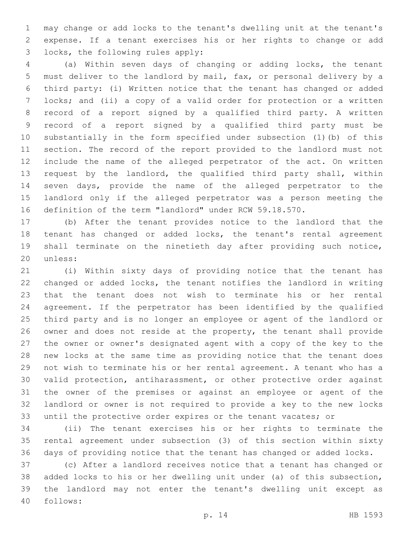may change or add locks to the tenant's dwelling unit at the tenant's expense. If a tenant exercises his or her rights to change or add locks, the following rules apply:3

 (a) Within seven days of changing or adding locks, the tenant must deliver to the landlord by mail, fax, or personal delivery by a third party: (i) Written notice that the tenant has changed or added locks; and (ii) a copy of a valid order for protection or a written record of a report signed by a qualified third party. A written record of a report signed by a qualified third party must be substantially in the form specified under subsection (1)(b) of this section. The record of the report provided to the landlord must not include the name of the alleged perpetrator of the act. On written request by the landlord, the qualified third party shall, within seven days, provide the name of the alleged perpetrator to the landlord only if the alleged perpetrator was a person meeting the definition of the term "landlord" under RCW 59.18.570.

 (b) After the tenant provides notice to the landlord that the tenant has changed or added locks, the tenant's rental agreement shall terminate on the ninetieth day after providing such notice, 20 unless:

 (i) Within sixty days of providing notice that the tenant has changed or added locks, the tenant notifies the landlord in writing that the tenant does not wish to terminate his or her rental agreement. If the perpetrator has been identified by the qualified third party and is no longer an employee or agent of the landlord or owner and does not reside at the property, the tenant shall provide the owner or owner's designated agent with a copy of the key to the new locks at the same time as providing notice that the tenant does not wish to terminate his or her rental agreement. A tenant who has a valid protection, antiharassment, or other protective order against the owner of the premises or against an employee or agent of the landlord or owner is not required to provide a key to the new locks until the protective order expires or the tenant vacates; or

 (ii) The tenant exercises his or her rights to terminate the rental agreement under subsection (3) of this section within sixty days of providing notice that the tenant has changed or added locks.

 (c) After a landlord receives notice that a tenant has changed or added locks to his or her dwelling unit under (a) of this subsection, the landlord may not enter the tenant's dwelling unit except as follows:40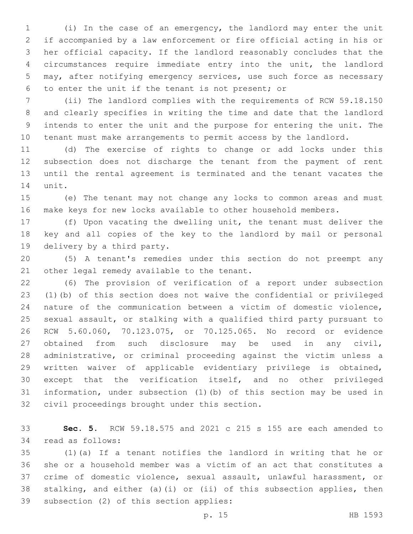(i) In the case of an emergency, the landlord may enter the unit if accompanied by a law enforcement or fire official acting in his or her official capacity. If the landlord reasonably concludes that the circumstances require immediate entry into the unit, the landlord may, after notifying emergency services, use such force as necessary 6 to enter the unit if the tenant is not present; or

 (ii) The landlord complies with the requirements of RCW 59.18.150 and clearly specifies in writing the time and date that the landlord intends to enter the unit and the purpose for entering the unit. The tenant must make arrangements to permit access by the landlord.

 (d) The exercise of rights to change or add locks under this subsection does not discharge the tenant from the payment of rent until the rental agreement is terminated and the tenant vacates the 14 unit.

 (e) The tenant may not change any locks to common areas and must make keys for new locks available to other household members.

 (f) Upon vacating the dwelling unit, the tenant must deliver the key and all copies of the key to the landlord by mail or personal 19 delivery by a third party.

 (5) A tenant's remedies under this section do not preempt any 21 other legal remedy available to the tenant.

 (6) The provision of verification of a report under subsection (1)(b) of this section does not waive the confidential or privileged nature of the communication between a victim of domestic violence, sexual assault, or stalking with a qualified third party pursuant to RCW 5.60.060, 70.123.075, or 70.125.065. No record or evidence obtained from such disclosure may be used in any civil, administrative, or criminal proceeding against the victim unless a written waiver of applicable evidentiary privilege is obtained, except that the verification itself, and no other privileged information, under subsection (1)(b) of this section may be used in 32 civil proceedings brought under this section.

 **Sec. 5.** RCW 59.18.575 and 2021 c 215 s 155 are each amended to 34 read as follows:

 (1)(a) If a tenant notifies the landlord in writing that he or she or a household member was a victim of an act that constitutes a crime of domestic violence, sexual assault, unlawful harassment, or stalking, and either (a)(i) or (ii) of this subsection applies, then 39 subsection (2) of this section applies: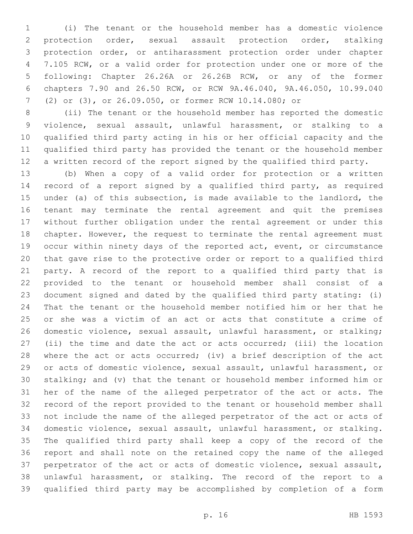(i) The tenant or the household member has a domestic violence protection order, sexual assault protection order, stalking protection order, or antiharassment protection order under chapter 7.105 RCW, or a valid order for protection under one or more of the following: Chapter 26.26A or 26.26B RCW, or any of the former chapters 7.90 and 26.50 RCW, or RCW 9A.46.040, 9A.46.050, 10.99.040 (2) or (3), or 26.09.050, or former RCW 10.14.080; or

 (ii) The tenant or the household member has reported the domestic violence, sexual assault, unlawful harassment, or stalking to a qualified third party acting in his or her official capacity and the qualified third party has provided the tenant or the household member a written record of the report signed by the qualified third party.

 (b) When a copy of a valid order for protection or a written record of a report signed by a qualified third party, as required under (a) of this subsection, is made available to the landlord, the tenant may terminate the rental agreement and quit the premises without further obligation under the rental agreement or under this chapter. However, the request to terminate the rental agreement must occur within ninety days of the reported act, event, or circumstance that gave rise to the protective order or report to a qualified third party. A record of the report to a qualified third party that is provided to the tenant or household member shall consist of a document signed and dated by the qualified third party stating: (i) That the tenant or the household member notified him or her that he or she was a victim of an act or acts that constitute a crime of domestic violence, sexual assault, unlawful harassment, or stalking; (ii) the time and date the act or acts occurred; (iii) the location 28 where the act or acts occurred; (iv) a brief description of the act or acts of domestic violence, sexual assault, unlawful harassment, or stalking; and (v) that the tenant or household member informed him or her of the name of the alleged perpetrator of the act or acts. The record of the report provided to the tenant or household member shall not include the name of the alleged perpetrator of the act or acts of domestic violence, sexual assault, unlawful harassment, or stalking. The qualified third party shall keep a copy of the record of the report and shall note on the retained copy the name of the alleged perpetrator of the act or acts of domestic violence, sexual assault, unlawful harassment, or stalking. The record of the report to a qualified third party may be accomplished by completion of a form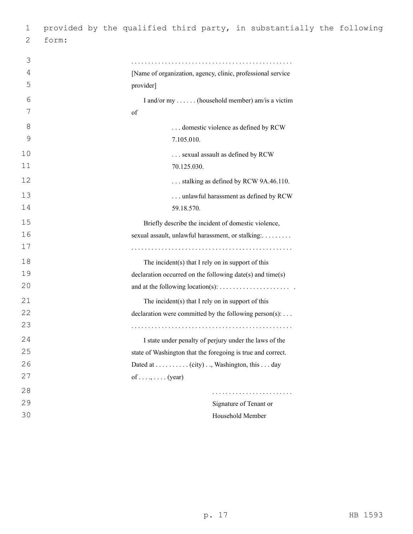| 1  |       | provided by the qualified third party, in substantially the following |
|----|-------|-----------------------------------------------------------------------|
| 2  | form: |                                                                       |
|    |       |                                                                       |
| 3  |       |                                                                       |
| 4  |       | [Name of organization, agency, clinic, professional service           |
| 5  |       | provider]                                                             |
| 6  |       | I and/or my  (household member) am/is a victim                        |
| 7  |       | of                                                                    |
| 8  |       | domestic violence as defined by RCW                                   |
| 9  |       | 7.105.010.                                                            |
| 10 |       | sexual assault as defined by RCW                                      |
| 11 |       | 70.125.030.                                                           |
| 12 |       | stalking as defined by RCW 9A.46.110.                                 |
| 13 |       | unlawful harassment as defined by RCW                                 |
| 14 |       | 59.18.570.                                                            |
| 15 |       | Briefly describe the incident of domestic violence,                   |
| 16 |       | sexual assault, unlawful harassment, or stalking:                     |
| 17 |       |                                                                       |
| 18 |       | The incident $(s)$ that I rely on in support of this                  |
| 19 |       | declaration occurred on the following date(s) and time(s)             |
| 20 |       |                                                                       |
| 21 |       | The incident(s) that I rely on in support of this                     |
| 22 |       | declaration were committed by the following person(s):                |
| 23 |       |                                                                       |
| 24 |       | I state under penalty of perjury under the laws of the                |
| 25 |       | state of Washington that the foregoing is true and correct.           |
| 26 |       | Dated at (city), Washington, this day                                 |
| 27 |       | of (year)                                                             |
| 28 |       |                                                                       |
| 29 |       | Signature of Tenant or                                                |
| 30 |       | Household Member                                                      |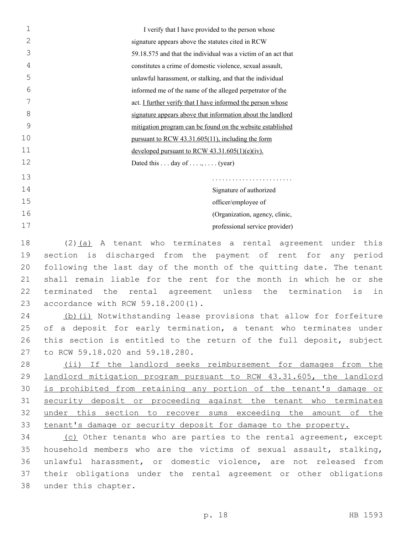| $\mathbf{1}$   | I verify that I have provided to the person whose             |
|----------------|---------------------------------------------------------------|
| $\overline{2}$ | signature appears above the statutes cited in RCW             |
| 3              | 59.18.575 and that the individual was a victim of an act that |
| 4              | constitutes a crime of domestic violence, sexual assault,     |
| 5              | unlawful harassment, or stalking, and that the individual     |
| 6              | informed me of the name of the alleged perpetrator of the     |
| 7              | act. I further verify that I have informed the person whose   |
| 8              | signature appears above that information about the landlord   |
| 9              | mitigation program can be found on the website established    |
| 10             | pursuant to RCW 43.31.605(11), including the form             |
| 11             | developed pursuant to RCW $43.31.605(1)(e)(iv)$ .             |
| 12             | Dated this $\dots$ day of $\dots$ , $\dots$ (year)            |
| 13             | .                                                             |
| 14             | Signature of authorized                                       |
| 15             | officer/employee of                                           |
| 16             | (Organization, agency, clinic,                                |
| 17             | professional service provider)                                |
|                |                                                               |

 (2)(a) A tenant who terminates a rental agreement under this section is discharged from the payment of rent for any period following the last day of the month of the quitting date. The tenant shall remain liable for the rent for the month in which he or she terminated the rental agreement unless the termination is in 23 accordance with RCW 59.18.200(1).

24 (b)(i) Notwithstanding lease provisions that allow for forfeiture 25 of a deposit for early termination, a tenant who terminates under 26 this section is entitled to the return of the full deposit, subject 27 to RCW 59.18.020 and 59.18.280.

 (ii) If the landlord seeks reimbursement for damages from the landlord mitigation program pursuant to RCW 43.31.605, the landlord is prohibited from retaining any portion of the tenant's damage or security deposit or proceeding against the tenant who terminates under this section to recover sums exceeding the amount of the tenant's damage or security deposit for damage to the property.

34 (c) Other tenants who are parties to the rental agreement, except 35 household members who are the victims of sexual assault, stalking, 36 unlawful harassment, or domestic violence, are not released from 37 their obligations under the rental agreement or other obligations 38 under this chapter.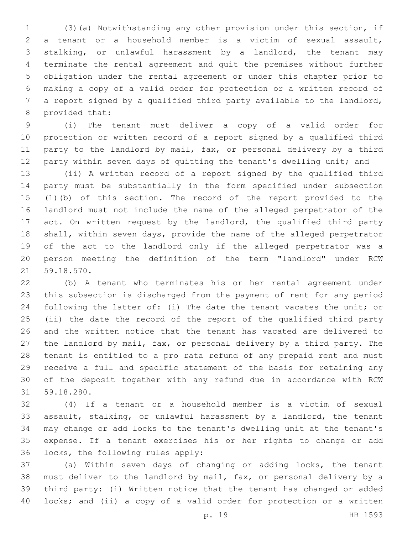(3)(a) Notwithstanding any other provision under this section, if a tenant or a household member is a victim of sexual assault, stalking, or unlawful harassment by a landlord, the tenant may terminate the rental agreement and quit the premises without further obligation under the rental agreement or under this chapter prior to making a copy of a valid order for protection or a written record of a report signed by a qualified third party available to the landlord, 8 provided that:

 (i) The tenant must deliver a copy of a valid order for protection or written record of a report signed by a qualified third 11 party to the landlord by mail, fax, or personal delivery by a third 12 party within seven days of quitting the tenant's dwelling unit; and

 (ii) A written record of a report signed by the qualified third party must be substantially in the form specified under subsection (1)(b) of this section. The record of the report provided to the landlord must not include the name of the alleged perpetrator of the 17 act. On written request by the landlord, the qualified third party shall, within seven days, provide the name of the alleged perpetrator of the act to the landlord only if the alleged perpetrator was a person meeting the definition of the term "landlord" under RCW 21 59.18.570.

 (b) A tenant who terminates his or her rental agreement under this subsection is discharged from the payment of rent for any period following the latter of: (i) The date the tenant vacates the unit; or (ii) the date the record of the report of the qualified third party and the written notice that the tenant has vacated are delivered to the landlord by mail, fax, or personal delivery by a third party. The tenant is entitled to a pro rata refund of any prepaid rent and must receive a full and specific statement of the basis for retaining any of the deposit together with any refund due in accordance with RCW 59.18.280.31

 (4) If a tenant or a household member is a victim of sexual assault, stalking, or unlawful harassment by a landlord, the tenant may change or add locks to the tenant's dwelling unit at the tenant's expense. If a tenant exercises his or her rights to change or add 36 locks, the following rules apply:

 (a) Within seven days of changing or adding locks, the tenant must deliver to the landlord by mail, fax, or personal delivery by a third party: (i) Written notice that the tenant has changed or added locks; and (ii) a copy of a valid order for protection or a written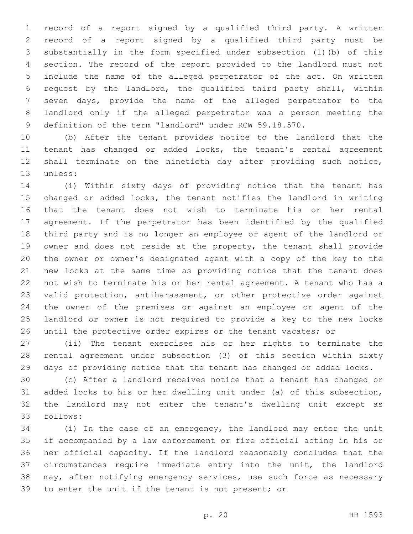record of a report signed by a qualified third party. A written record of a report signed by a qualified third party must be substantially in the form specified under subsection (1)(b) of this section. The record of the report provided to the landlord must not include the name of the alleged perpetrator of the act. On written request by the landlord, the qualified third party shall, within seven days, provide the name of the alleged perpetrator to the landlord only if the alleged perpetrator was a person meeting the definition of the term "landlord" under RCW 59.18.570.

 (b) After the tenant provides notice to the landlord that the tenant has changed or added locks, the tenant's rental agreement shall terminate on the ninetieth day after providing such notice, 13 unless:

 (i) Within sixty days of providing notice that the tenant has changed or added locks, the tenant notifies the landlord in writing that the tenant does not wish to terminate his or her rental agreement. If the perpetrator has been identified by the qualified third party and is no longer an employee or agent of the landlord or owner and does not reside at the property, the tenant shall provide the owner or owner's designated agent with a copy of the key to the new locks at the same time as providing notice that the tenant does not wish to terminate his or her rental agreement. A tenant who has a valid protection, antiharassment, or other protective order against the owner of the premises or against an employee or agent of the landlord or owner is not required to provide a key to the new locks 26 until the protective order expires or the tenant vacates; or

 (ii) The tenant exercises his or her rights to terminate the rental agreement under subsection (3) of this section within sixty days of providing notice that the tenant has changed or added locks.

 (c) After a landlord receives notice that a tenant has changed or added locks to his or her dwelling unit under (a) of this subsection, the landlord may not enter the tenant's dwelling unit except as follows:33

 (i) In the case of an emergency, the landlord may enter the unit if accompanied by a law enforcement or fire official acting in his or her official capacity. If the landlord reasonably concludes that the circumstances require immediate entry into the unit, the landlord may, after notifying emergency services, use such force as necessary to enter the unit if the tenant is not present; or